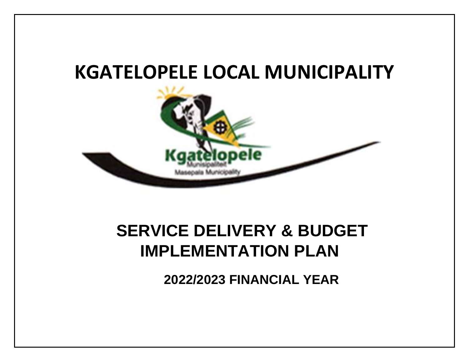# **KGATELOPELE LOCAL MUNICIPALITY**



# **SERVICE DELIVERY & BUDGET IMPLEMENTATION PLAN**

**2022/2023 FINANCIAL YEAR**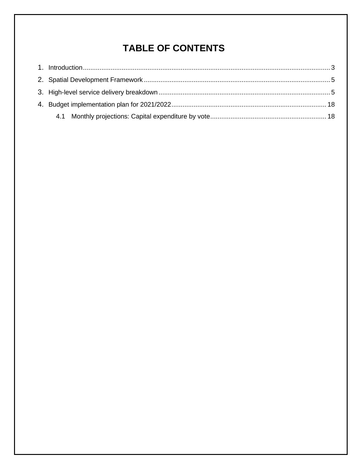# **TABLE OF CONTENTS**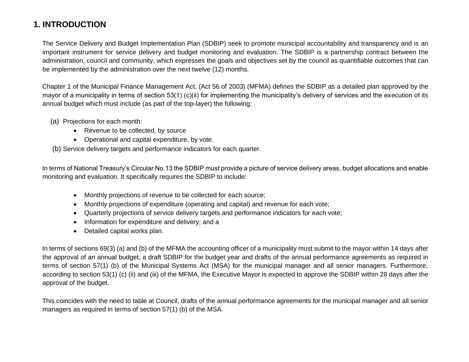# **1. INTRODUCTION**

The Service Delivery and Budget Implementation Plan (SDBIP) seek to promote municipal accountability and transparency and is an important instrument for service delivery and budget monitoring and evaluation. The SDBIP is a partnership contract between the administration, council and community, which expresses the goals and objectives set by the council as quantifiable outcomes that can be implemented by the administration over the next twelve (12) months.

Chapter 1 of the Municipal Finance Management Act, (Act 56 of 2003) (MFMA) defines the SDBIP as a detailed plan approved by the mayor of a municipality in terms of section 53(1) (c)(ii) for implementing the municipality's delivery of services and the execution of its annual budget which must include (as part of the top-layer) the following:

- <span id="page-2-0"></span>(a) Projections for each month:
	- Revenue to be collected, by source
	- Operational and capital expenditure, by vote.

(b) Service delivery targets and performance indicators for each quarter.

In terms of National Treasury's Circular No.13 the SDBIP must provide a picture of service delivery areas, budget allocations and enable monitoring and evaluation. It specifically requires the SDBIP to include:

- Monthly projections of revenue to be collected for each source;
- Monthly projections of expenditure (operating and capital) and revenue for each vote;
- Quarterly projections of service delivery targets and performance indicators for each vote;
- Information for expenditure and delivery; and a
- Detailed capital works plan.

In terms of sections 69(3) (a) and (b) of the MFMA the accounting officer of a municipality must submit to the mayor within 14 days after the approval of an annual budget, a draft SDBIP for the budget year and drafts of the annual performance agreements as required in terms of section 57(1) (b) of the Municipal Systems Act (MSA) for the municipal manager and all senior managers. Furthermore, according to section 53(1) (c) (ii) and (iii) of the MFMA, the Executive Mayor is expected to approve the SDBIP within 28 days after the approval of the budget.

This coincides with the need to table at Council, drafts of the annual performance agreements for the municipal manager and all senior managers as required in terms of section 57(1) (b) of the MSA.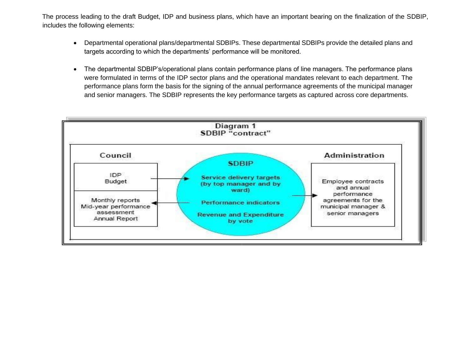The process leading to the draft Budget, IDP and business plans, which have an important bearing on the finalization of the SDBIP, includes the following elements:

- Departmental operational plans/departmental SDBIPs. These departmental SDBIPs provide the detailed plans and targets according to which the departments' performance will be monitored.
- The departmental SDBIP's/operational plans contain performance plans of line managers. The performance plans were formulated in terms of the IDP sector plans and the operational mandates relevant to each department. The performance plans form the basis for the signing of the annual performance agreements of the municipal manager and senior managers. The SDBIP represents the key performance targets as captured across core departments.

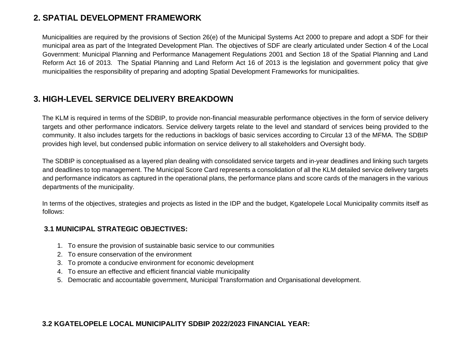## **2. SPATIAL DEVELOPMENT FRAMEWORK**

Municipalities are required by the provisions of Section 26(e) of the Municipal Systems Act 2000 to prepare and adopt a SDF for their municipal area as part of the Integrated Development Plan. The objectives of SDF are clearly articulated under Section 4 of the Local Government: Municipal Planning and Performance Management Regulations 2001 and Section 18 of the Spatial Planning and Land Reform Act 16 of 2013. The Spatial Planning and Land Reform Act 16 of 2013 is the legislation and government policy that give municipalities the responsibility of preparing and adopting Spatial Development Frameworks for municipalities.

## <span id="page-4-0"></span>**3. HIGH-LEVEL SERVICE DELIVERY BREAKDOWN**

The KLM is required in terms of the SDBIP, to provide non-financial measurable performance objectives in the form of service delivery targets and other performance indicators. Service delivery targets relate to the level and standard of services being provided to the community. It also includes targets for the reductions in backlogs of basic services according to Circular 13 of the MFMA. The SDBIP provides high level, but condensed public information on service delivery to all stakeholders and Oversight body.

The SDBIP is conceptualised as a layered plan dealing with consolidated service targets and in-year deadlines and linking such targets and deadlines to top management. The Municipal Score Card represents a consolidation of all the KLM detailed service delivery targets and performance indicators as captured in the operational plans, the performance plans and score cards of the managers in the various departments of the municipality.

<span id="page-4-1"></span>In terms of the objectives, strategies and projects as listed in the IDP and the budget, Kgatelopele Local Municipality commits itself as follows:

#### **3.1 MUNICIPAL STRATEGIC OBJECTIVES:**

- 1. To ensure the provision of sustainable basic service to our communities
- 2. To ensure conservation of the environment
- 3. To promote a conducive environment for economic development
- 4. To ensure an effective and efficient financial viable municipality
- 5. Democratic and accountable government, Municipal Transformation and Organisational development.

#### **3.2 KGATELOPELE LOCAL MUNICIPALITY SDBIP 2022/2023 FINANCIAL YEAR:**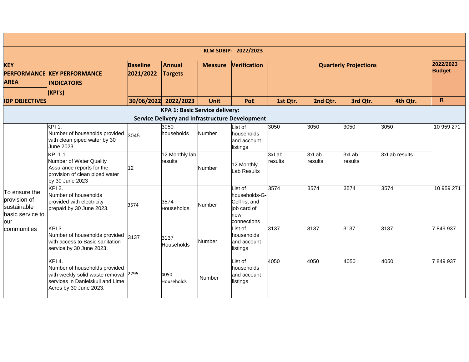|                                                                         |                                                                                                                                                 |                              |                                       |                | KLM SDBIP- 2022/2023                                                           |                  |                  |                              |               |                            |
|-------------------------------------------------------------------------|-------------------------------------------------------------------------------------------------------------------------------------------------|------------------------------|---------------------------------------|----------------|--------------------------------------------------------------------------------|------------------|------------------|------------------------------|---------------|----------------------------|
| <b>KEY</b><br><b>AREA</b>                                               | <b>PERFORMANCE KEY PERFORMANCE</b><br><b>INDICATORS</b><br>(KPI's)                                                                              | <b>Baseline</b><br>2021/2022 | <b>Annual</b><br><b>Targets</b>       | <b>Measure</b> | <b>Verification</b>                                                            |                  |                  | <b>Quarterly Projections</b> |               | 2022/2023<br><b>Budget</b> |
| <b>IDP OBJECTIVES</b>                                                   |                                                                                                                                                 |                              | 30/06/2022 2022/2023                  | <b>Unit</b>    | PoE                                                                            | 1st Qtr.         | 2nd Qtr.         | 3rd Qtr.                     | 4th Qtr.      | $\mathsf{R}$               |
|                                                                         |                                                                                                                                                 |                              | <b>KPA 1: Basic Service delivery:</b> |                |                                                                                |                  |                  |                              |               |                            |
|                                                                         |                                                                                                                                                 |                              |                                       |                | <b>Service Delivery and Infrastructure Development</b>                         |                  |                  |                              |               |                            |
|                                                                         | <b>KPI 1.</b><br>Number of households provided<br>with clean piped water by 30<br>June 2023.                                                    | 3045                         | 3050<br>households                    | Number         | List of<br>households<br>and account<br>listings                               | 3050             | 3050             | 3050                         | 3050          | 10 959 271                 |
|                                                                         | KPI 1.1.<br>Number of Water Quality<br>Assurance reports for the<br>provision of clean piped water<br>by 30 June 2023                           | 12                           | 12 Monthly lab<br>results             | Number         | 12 Monthly<br>Lab Results                                                      | 3xLab<br>results | 3xLab<br>results | 3xLab<br>results             | 3xLab results |                            |
| To ensure the<br>provision of<br>sustainable<br>basic service to<br>our | <b>KPI 2.</b><br>Number of households<br>provided with electricity<br>prepaid by 30 June 2023.                                                  | 3574                         | 3574<br>Households                    | Number         | List of<br>households-G-<br>Cell list and<br>job card of<br>new<br>connections | 3574             | 3574             | 3574                         | 3574          | 10 959 271                 |
| communities                                                             | KPI 3.<br>Number of households provided<br>with access to Basic sanitation<br>service by 30 June 2023.                                          | 3137                         | 3137<br>Households                    | Number         | List of<br>households<br>and account<br>listings                               | 3137             | 3137             | 3137                         | 3137          | 7849937                    |
|                                                                         | <b>KPI 4.</b><br>Number of households provided<br>with weekly solid waste removal<br>services in Danielskuil and Lime<br>Acres by 30 June 2023. | 2795                         | 4050<br>Households                    | Number         | List of<br>households<br>and account<br>listings                               | 4050             | 4050             | 4050                         | 4050          | 7849937                    |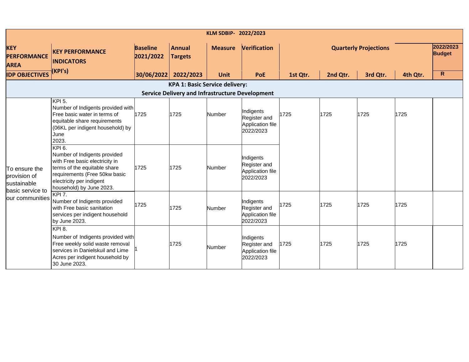| KLM SDBIP- 2022/2023                                             |                                                                                                                                                                                                   |                              |                                       |                |                                                            |          |          |                              |          |                            |  |  |
|------------------------------------------------------------------|---------------------------------------------------------------------------------------------------------------------------------------------------------------------------------------------------|------------------------------|---------------------------------------|----------------|------------------------------------------------------------|----------|----------|------------------------------|----------|----------------------------|--|--|
| <b>KEY</b><br><b>PERFORMANCE</b><br><b>AREA</b>                  | <b>KEY PERFORMANCE</b><br><b>INDICATORS</b>                                                                                                                                                       | <b>Baseline</b><br>2021/2022 | <b>Annual</b><br><b>Targets</b>       | <b>Measure</b> | Verification                                               |          |          | <b>Quarterly Projections</b> |          | 2022/2023<br><b>Budget</b> |  |  |
| <b>IDP OBJECTIVES</b>                                            | (KPI's)                                                                                                                                                                                           | 30/06/2022                   | 2022/2023                             | <b>Unit</b>    | <b>PoE</b>                                                 | 1st Qtr. | 2nd Qtr. | 3rd Qtr.                     | 4th Qtr. | $\mathsf{R}$               |  |  |
|                                                                  |                                                                                                                                                                                                   |                              | <b>KPA 1: Basic Service delivery:</b> |                |                                                            |          |          |                              |          |                            |  |  |
|                                                                  | <b>Service Delivery and Infrastructure Development</b>                                                                                                                                            |                              |                                       |                |                                                            |          |          |                              |          |                            |  |  |
|                                                                  | KPI 5.<br>Number of Indigents provided with<br>Free basic water in terms of<br>equitable share requirements<br>(06KL per indigent household) by<br>June<br>2023.                                  | 1725                         | 1725                                  | Number         | Indigents<br>Register and<br>Application file<br>2022/2023 | 1725     | 1725     | 1725                         | 1725     |                            |  |  |
| To ensure the<br>provision of<br>sustainable<br>basic service to | KPI 6.<br>Number of Indigents provided<br>with Free basic electricity in<br>terms of the equitable share<br>requirements (Free 50kw basic<br>electricity per indigent<br>household) by June 2023. | 1725                         | 1725                                  | Number         | Indigents<br>Register and<br>Application file<br>2022/2023 |          |          |                              |          |                            |  |  |
| our communities                                                  | KPI 7.<br>Number of Indigents provided<br>with Free basic sanitation<br>services per indigent household<br>by June 2023.                                                                          | 1725                         | 1725                                  | Number         | Indigents<br>Register and<br>Application file<br>2022/2023 | 1725     | 1725     | 1725                         | 1725     |                            |  |  |
|                                                                  | <b>KPI 8.</b><br>Number of Indigents provided with<br>Free weekly solid waste removal<br>services in Danielskuil and Lime<br>Acres per indigent household by<br>30 June 2023.                     |                              | 1725                                  | Number         | Indigents<br>Register and<br>Application file<br>2022/2023 | 1725     | 1725     | 1725                         | 1725     |                            |  |  |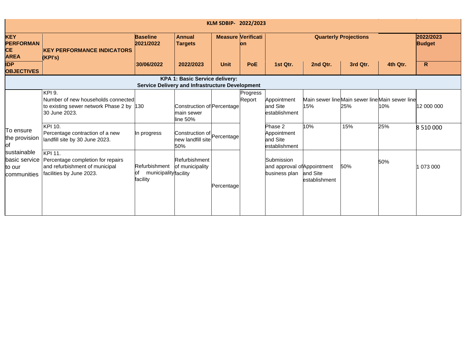|                                                            | KLM SDBIP- 2022/2023                                                                                              |                                                          |                                                        |                           |                    |                                                            |                           |                                                        |          |            |  |  |  |
|------------------------------------------------------------|-------------------------------------------------------------------------------------------------------------------|----------------------------------------------------------|--------------------------------------------------------|---------------------------|--------------------|------------------------------------------------------------|---------------------------|--------------------------------------------------------|----------|------------|--|--|--|
| <b>KEY</b><br><b>PERFORMAN</b><br><b>CE</b><br><b>AREA</b> | <b>KEY PERFORMANCE INDICATORS</b><br>(KPI's)                                                                      | <b>Baseline</b><br>2021/2022                             | <b>Annual</b><br><b>Targets</b>                        | <b>Measure Verificati</b> | lon                |                                                            |                           | 2022/2023<br><b>Budget</b>                             |          |            |  |  |  |
| <b>IDP</b><br><b>OBJECTIVES</b>                            |                                                                                                                   | 30/06/2022                                               | 2022/2023                                              | <b>Unit</b>               | <b>PoE</b>         | 1st Qtr.                                                   | 2nd Qtr.                  | 3rd Qtr.                                               | 4th Qtr. | R          |  |  |  |
|                                                            |                                                                                                                   | <b>Service Delivery and Infrastructure Development</b>   | KPA 1: Basic Service delivery:                         |                           |                    |                                                            |                           |                                                        |          |            |  |  |  |
|                                                            | <b>KPI 9.</b><br>Number of new households connected<br>to existing sewer network Phase 2 by 130<br>30 June 2023.  |                                                          | Construction of Percentage<br>main sewer<br>line 50%   |                           | Progress<br>Report | Appointment<br>and Site<br>establishment                   | 15%                       | Main sewer line Main sewer line Main sewer line<br>25% | 10%      | 12 000 000 |  |  |  |
| To ensure<br>the provision<br>of                           | KPI 10.<br>Percentage contraction of a new<br>landfill site by 30 June 2023.                                      | In progress                                              | Construction of Percentage<br>new landfill site<br>50% |                           |                    | Phase 2<br>Appointment<br>and Site<br>establishment        | 10%                       | 15%                                                    | 25%      | 8 510 000  |  |  |  |
| sustainable<br>basic service<br>to our<br>communities      | <b>KPI 11.</b><br>Percentage completion for repairs<br>and refurbishment of municipal<br>facilities by June 2023. | Refurbishment<br>municipality facility<br>юf<br>facility | Refurbishment<br>of municipality                       | Percentage                |                    | Submission<br>and approval of Appointment<br>business plan | and Site<br>establishment | 50%                                                    | 50%      | 073 000    |  |  |  |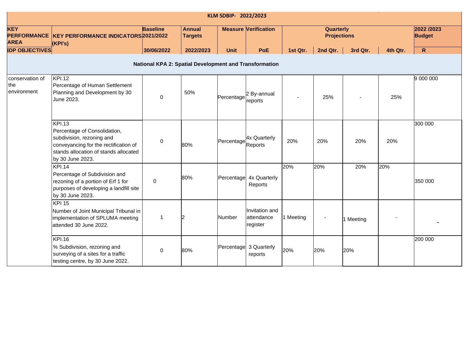|                                                 | KLM SDBIP- 2022/2023                                                                                                                                                             |                 |                                 |             |                                          |           |                                 |           |          |                             |  |  |  |
|-------------------------------------------------|----------------------------------------------------------------------------------------------------------------------------------------------------------------------------------|-----------------|---------------------------------|-------------|------------------------------------------|-----------|---------------------------------|-----------|----------|-----------------------------|--|--|--|
| <b>KEY</b><br><b>PERFORMANCE</b><br><b>AREA</b> | KEY PERFORMANCE INDICATORS 2021/2022<br>(KPI's)                                                                                                                                  | <b>Baseline</b> | <b>Annual</b><br><b>Targets</b> |             | <b>Measure Verification</b>              |           | Quarterly<br><b>Projections</b> |           |          | 2022 /2023<br><b>Budget</b> |  |  |  |
| <b>IDP OBJECTIVES</b>                           |                                                                                                                                                                                  | 30/06/2022      | 2022/2023                       | <b>Unit</b> | <b>PoE</b>                               | 1st Qtr.  | 2nd Qtr.                        | 3rd Qtr.  | 4th Qtr. | $\mathsf{R}$                |  |  |  |
|                                                 | National KPA 2: Spatial Development and Transformation                                                                                                                           |                 |                                 |             |                                          |           |                                 |           |          |                             |  |  |  |
| conservation of<br>the<br>environment           | <b>KPI.12</b><br>Percentage of Human Settlement<br>Planning and Development by 30<br>June 2023.                                                                                  | $\mathbf 0$     | 50%                             | Percentage  | 2 By-annual<br>reports                   |           | 25%                             |           | 25%      | 9 000 000                   |  |  |  |
|                                                 | <b>KPI.13</b><br>Percentage of Consolidation,<br>subdivision, rezoning and<br>conveyancing for the rectification of<br>stands allocation of stands allocated<br>by 30 June 2023. | 0               | 80%                             | Percentage  | 4x Quarterly<br>Reports                  | 20%       | 20%                             | 20%       | 20%      | 300 000                     |  |  |  |
|                                                 | <b>KPI.14</b><br>Percentage of Subdivision and<br>rezoning of a portion of Erf 1 for<br>purposes of developing a landfill site<br>by 30 June 2023.                               | $\mathbf 0$     | 80%                             | Percentage  | 4x Quarterly<br>Reports                  | 20%       | 20%                             | 20%       | 20%      | 350 000                     |  |  |  |
|                                                 | <b>KPI 15</b><br>Number of Joint Municipal Tribunal in<br>implementation of SPLUMA meeting<br>attended 30 June 2022.                                                             | $\mathbf{1}$    | 12                              | Number      | Invitation and<br>attendance<br>register | 1 Meeting |                                 | 1 Meeting |          |                             |  |  |  |
|                                                 | <b>KPI.16</b><br>% Subdivision, rezoning and<br>surveying of a sites for a traffic<br>testing centre, by 30 June 2022.                                                           | $\pmb{0}$       | 80%                             |             | Percentage 3 Quarterly<br>reports        | 20%       | 20%                             | 20%       |          | 200 000                     |  |  |  |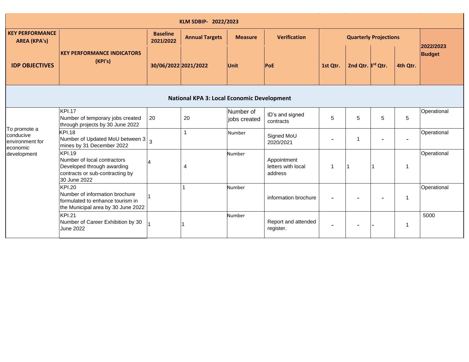| KLM SDBIP- 2022/2023                                     |                                                                                                                               |                              |                                                   |                           |                                              |                |                              |   |          |                            |  |  |
|----------------------------------------------------------|-------------------------------------------------------------------------------------------------------------------------------|------------------------------|---------------------------------------------------|---------------------------|----------------------------------------------|----------------|------------------------------|---|----------|----------------------------|--|--|
| <b>KEY PERFORMANCE</b><br><b>AREA (KPA's)</b>            |                                                                                                                               | <b>Baseline</b><br>2021/2022 | <b>Annual Targets</b>                             | <b>Measure</b>            | <b>Verification</b>                          |                | <b>Quarterly Projections</b> |   |          |                            |  |  |
| <b>IDP OBJECTIVES</b>                                    | <b>KEY PERFORMANCE INDICATORS</b><br>(KPI's)                                                                                  | 30/06/2022 2021/2022         |                                                   | Unit                      | <b>PoE</b>                                   | 1st Qtr.       | 2nd Qtr. <sup>Brd</sup> Qtr. |   | 4th Qtr. | 2022/2023<br><b>Budget</b> |  |  |
|                                                          |                                                                                                                               |                              | <b>National KPA 3: Local Economic Development</b> |                           |                                              |                |                              |   |          |                            |  |  |
|                                                          | <b>KPI.17</b><br>Number of temporary jobs created<br>through projects by 30 June 2022                                         | 20                           | 20                                                | Number of<br>jobs created | ID's and signed<br>contracts                 | 5              | 5                            | 5 | 5        | Operational                |  |  |
| To promote a<br>conducive<br>environment for<br>economic | <b>KPI.18</b><br>Number of Updated MoU between 3 3<br>mines by 31 December 2022                                               |                              | 1                                                 | Number                    | Signed MoU<br>2020/2021                      |                |                              |   |          | Operational                |  |  |
| development                                              | <b>KPI.19</b><br>Number of local contractors<br>Developed through awarding<br>contracts or sub-contracting by<br>30 June 2022 | $\overline{A}$               | 4                                                 | Number                    | Appointment<br>letters with local<br>address | -1             |                              |   |          | Operational                |  |  |
|                                                          | <b>KPI.20</b><br>Number of information brochure<br>formulated to enhance tourism in<br>the Municipal area by 30 June 2022     |                              |                                                   | Number                    | information brochure                         |                |                              |   | -1       | Operational                |  |  |
|                                                          | <b>KPI.21</b><br>Number of Career Exhibition by 30<br><b>June 2022</b>                                                        |                              |                                                   | Number                    | Report and attended<br>register.             | $\blacksquare$ |                              |   | -1       | 5000                       |  |  |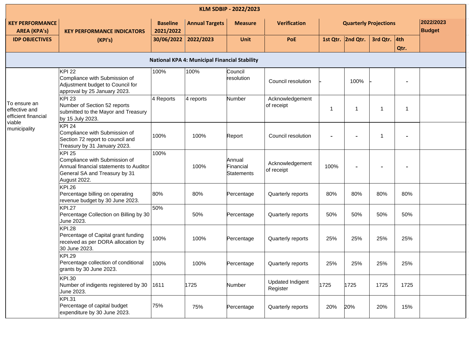|                                                                | KLM SDBIP - 2022/2023                                                                                                                     |                              |                                                      |                                          |                                     |      |                              |                 |                            |  |  |
|----------------------------------------------------------------|-------------------------------------------------------------------------------------------------------------------------------------------|------------------------------|------------------------------------------------------|------------------------------------------|-------------------------------------|------|------------------------------|-----------------|----------------------------|--|--|
| <b>KEY PERFORMANCE</b><br><b>AREA (KPA's)</b>                  | <b>KEY PERFORMANCE INDICATORS</b>                                                                                                         | <b>Baseline</b><br>2021/2022 | <b>Annual Targets</b>                                | <b>Measure</b>                           | <b>Verification</b>                 |      | <b>Quarterly Projections</b> |                 | 2022/2023<br><b>Budget</b> |  |  |
| <b>IDP OBJECTIVES</b>                                          | (KPI's)                                                                                                                                   | 30/06/2022                   | 2022/2023                                            | <b>Unit</b>                              | PoE                                 |      | 1st Qtr. 2nd Qtr.            | 3rd Qtr. $ 4th$ | Qtr.                       |  |  |
|                                                                |                                                                                                                                           |                              | <b>National KPA 4: Municipal Financial Stability</b> |                                          |                                     |      |                              |                 |                            |  |  |
|                                                                | <b>KPI 22</b><br>Compliance with Submission of<br>Adjustment budget to Council for<br>approval by 25 January 2023.                        | 100%                         | 100%                                                 | Council<br>resolution                    | Council resolution                  |      | 100%                         |                 |                            |  |  |
| To ensure an<br>effective and<br>efficient financial<br>viable | KPI $23$<br>Number of Section 52 reports<br>submitted to the Mayor and Treasury<br>by 15 July 2023.                                       | 4 Reports                    | 4 reports                                            | Number                                   | Acknowledgement<br>of receipt       | 1    | $\mathbf{1}$                 | -1              | -1                         |  |  |
| municipality                                                   | <b>KPI 24</b><br>Compliance with Submission of<br>Section 72 report to council and<br>Treasury by 31 January 2023.                        | 100%                         | 100%                                                 | Report                                   | Council resolution                  |      |                              | -1              |                            |  |  |
|                                                                | <b>KPI 25</b><br>Compliance with Submission of<br>Annual financial statements to Auditor<br>General SA and Treasury by 31<br>August 2022. | 100%                         | 100%                                                 | Annual<br>Financial<br><b>Statements</b> | Acknowledgement<br>of receipt       | 100% |                              |                 |                            |  |  |
|                                                                | <b>KPI.26</b><br>Percentage billing on operating<br>revenue budget by 30 June 2023.                                                       | 80%                          | 80%                                                  | Percentage                               | Quarterly reports                   | 80%  | 80%                          | 80%             | 80%                        |  |  |
|                                                                | <b>KPI.27</b><br>Percentage Collection on Billing by 30<br>June 2023.                                                                     | 50%                          | 50%                                                  | Percentage                               | Quarterly reports                   | 50%  | 50%                          | 50%             | 50%                        |  |  |
|                                                                | <b>KPI.28</b><br>Percentage of Capital grant funding<br>received as per DORA allocation by<br>30 June 2023.                               | 100%                         | 100%                                                 | Percentage                               | Quarterly reports                   | 25%  | 25%                          | 25%             | 25%                        |  |  |
|                                                                | <b>KPI.29</b><br>Percentage collection of conditional<br>grants by 30 June 2023.                                                          | 100%                         | 100%                                                 | Percentage                               | Quarterly reports                   | 25%  | 25%                          | 25%             | 25%                        |  |  |
|                                                                | <b>KPI.30</b><br>Number of indigents registered by 30<br>June 2023.                                                                       | 1611                         | 1725                                                 | Number                                   | <b>Updated Indigent</b><br>Register | 1725 | 1725                         | 1725            | 1725                       |  |  |
|                                                                | <b>KPI.31</b><br>Percentage of capital budget<br>expenditure by 30 June 2023.                                                             | 75%                          | 75%                                                  | Percentage                               | Quarterly reports                   | 20%  | 20%                          | 20%             | 15%                        |  |  |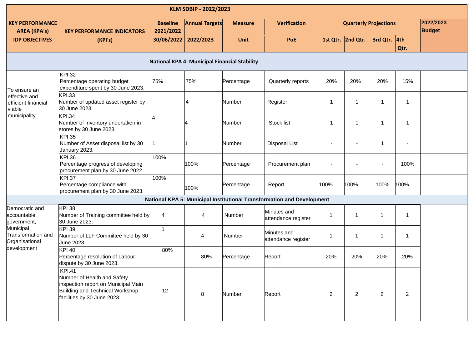|                                                   |                                                                                                                                                       |                              | KLM SDBIP - 2022/2023                                |                |                                                                        |                              |                   |                |                |                            |
|---------------------------------------------------|-------------------------------------------------------------------------------------------------------------------------------------------------------|------------------------------|------------------------------------------------------|----------------|------------------------------------------------------------------------|------------------------------|-------------------|----------------|----------------|----------------------------|
| <b>KEY PERFORMANCE</b><br><b>AREA (KPA's)</b>     | <b>KEY PERFORMANCE INDICATORS</b>                                                                                                                     | <b>Baseline</b><br>2021/2022 | <b>Annual Targets</b>                                | <b>Measure</b> | <b>Verification</b>                                                    | <b>Quarterly Projections</b> |                   |                |                | 2022/2023<br><b>Budget</b> |
| <b>IDP OBJECTIVES</b>                             | (KPI's)                                                                                                                                               | 30/06/2022                   | 2022/2023                                            | Unit           | PoE                                                                    |                              | 1st Qtr. 2nd Qtr. | 3rd Qtr.       | 4th<br>Qtr.    |                            |
|                                                   |                                                                                                                                                       |                              | <b>National KPA 4: Municipal Financial Stability</b> |                |                                                                        |                              |                   |                |                |                            |
| To ensure an                                      | <b>KPI.32</b><br>Percentage operating budget<br>expenditure spent by 30 June 2023.                                                                    | 75%                          | 75%                                                  | Percentage     | Quarterly reports                                                      | 20%                          | 20%               | 20%            | 15%            |                            |
| effective and<br>efficient financial<br>viable    | <b>KPI.33</b><br>Number of updated asset register by<br>30 June 2023.                                                                                 |                              | 4                                                    | Number         | Register                                                               | -1                           | -1                | $\mathbf{1}$   | $\overline{1}$ |                            |
| municipality                                      | <b>KPI.34</b><br>Number of Inventory undertaken in<br>stores by 30 June 2023.                                                                         |                              |                                                      | Number         | Stock list                                                             | -1                           | -1                | $\mathbf{1}$   | $\overline{1}$ |                            |
|                                                   | <b>KPI.35</b><br>Number of Asset disposal list by 30<br>January 2023.                                                                                 |                              |                                                      | Number         | <b>Disposal List</b>                                                   |                              |                   | $\mathbf 1$    | $\blacksquare$ |                            |
|                                                   | <b>KPI.36</b><br>Percentage progress of developing<br>procurement plan by 30 June 2022                                                                | 100%                         | 100%                                                 | Percentage     | Procurement plan                                                       |                              |                   | $\blacksquare$ | 100%           |                            |
|                                                   | <b>KPI.37</b><br>Percentage compliance with<br>procurement plan by 30 June 2023.                                                                      | 100%                         | 100%                                                 | Percentage     | Report                                                                 | 100%                         | 100%              | 100%           | 100%           |                            |
|                                                   |                                                                                                                                                       |                              |                                                      |                | National KPA 5: Municipal Institutional Transformation and Development |                              |                   |                |                |                            |
| Democratic and<br>accountable<br>government,      | <b>KPI 38</b><br>Number of Training committee held by<br>30 June 2023.                                                                                | 4                            | 4                                                    | Number         | Minutes and<br>attendance register                                     | 1                            |                   | 1              | $\mathbf{1}$   |                            |
| Municipal<br>Transformation and<br>Organisational | <b>KPI 39</b><br>Number of LLF Committee held by 30<br>June 2023.                                                                                     | $\mathbf{1}$                 | 4                                                    | Number         | Minutes and<br>attendance register                                     | -1                           |                   | 1              | $\mathbf{1}$   |                            |
| development                                       | <b>KPI 40</b><br>Percentage resolution of Labour<br>dispute by 30 June 2023.                                                                          | 80%                          | 80%                                                  | Percentage     | Report                                                                 | 20%                          | 20%               | 20%            | 20%            |                            |
|                                                   | <b>KPI.41</b><br>Number of Health and Safety<br>inspection report on Municipal Main<br>Building and Technical Workshop<br>facilities by 30 June 2023. | 12                           | 8                                                    | Number         | Report                                                                 | $\overline{2}$               | 2                 | $\overline{2}$ | $\overline{2}$ |                            |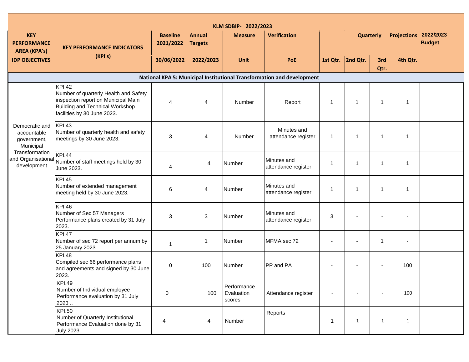| KLM SDBIP- 2022/2023                                      |                                                                                                                                                                 |                              |                          |                                     |                                                                        |              |                  |              |                    |                            |  |
|-----------------------------------------------------------|-----------------------------------------------------------------------------------------------------------------------------------------------------------------|------------------------------|--------------------------|-------------------------------------|------------------------------------------------------------------------|--------------|------------------|--------------|--------------------|----------------------------|--|
| <b>KEY</b><br><b>PERFORMANCE</b><br><b>AREA (KPA's)</b>   | <b>KEY PERFORMANCE INDICATORS</b>                                                                                                                               | <b>Baseline</b><br>2021/2022 | Annual<br><b>Targets</b> | <b>Measure</b>                      | <b>Verification</b>                                                    |              | <b>Quarterly</b> |              | <b>Projections</b> | 2022/2023<br><b>Budget</b> |  |
| <b>IDP OBJECTIVES</b>                                     | (KPI's)                                                                                                                                                         | 30/06/2022                   | 2022/2023                | Unit                                | PoE                                                                    | 1st Qtr.     | 2nd Qtr.         | 3rd<br>Qtr.  | 4th Qtr.           |                            |  |
|                                                           |                                                                                                                                                                 |                              |                          |                                     | National KPA 5: Municipal Institutional Transformation and development |              |                  |              |                    |                            |  |
|                                                           | <b>KPI.42</b><br>Number of quarterly Health and Safety<br>inspection report on Municipal Main<br>Building and Technical Workshop<br>facilities by 30 June 2023. | 4                            | 4                        | Number                              | Report                                                                 | $\mathbf 1$  | $\mathbf{1}$     | $\mathbf{1}$ | $\mathbf{1}$       |                            |  |
| Democratic and<br>accountable<br>government,<br>Municipal | <b>KPI.43</b><br>Number of quarterly health and safety<br>meetings by 30 June 2023.                                                                             | 3                            | $\overline{4}$           | Number                              | Minutes and<br>attendance register                                     | 1            | $\overline{1}$   | $\mathbf 1$  | $\mathbf{1}$       |                            |  |
| Transformation<br>development                             | <b>KPI.44</b><br>and Organisational Number of staff meetings held by 30<br>June 2023.                                                                           | 4                            | 4                        | Number                              | Minutes and<br>attendance register                                     | 1            | $\overline{1}$   | $\mathbf 1$  | $\mathbf{1}$       |                            |  |
|                                                           | <b>KPI.45</b><br>Number of extended management<br>meeting held by 30 June 2023.                                                                                 | 6                            | 4                        | Number                              | Minutes and<br>attendance register                                     | 1            | -1               | $\mathbf 1$  | 1                  |                            |  |
|                                                           | <b>KPI.46</b><br>Number of Sec 57 Managers<br>Performance plans created by 31 July<br>2023.                                                                     | 3                            | 3                        | Number                              | Minutes and<br>attendance register                                     | 3            |                  |              |                    |                            |  |
|                                                           | <b>KPI.47</b><br>Number of sec 72 report per annum by<br>25 January 2023.                                                                                       | 1                            | $\mathbf{1}$             | Number                              | MFMA sec 72                                                            |              |                  | 1            | $\blacksquare$     |                            |  |
|                                                           | <b>KPI.48</b><br>Compiled sec 66 performance plans<br>and agreements and signed by 30 June<br>2023.                                                             | 0                            | 100                      | Number                              | PP and PA                                                              |              |                  |              | 100                |                            |  |
|                                                           | <b>KPI.49</b><br>Number of Individual employee<br>Performance evaluation by 31 July<br>2023                                                                     | 0                            | 100                      | Performance<br>Evaluation<br>scores | Attendance register                                                    |              |                  | $\bar{a}$    | 100                |                            |  |
|                                                           | <b>KPI.50</b><br>Number of Quarterly Institutional<br>Performance Evaluation done by 31<br>July 2023.                                                           | 4                            | 4                        | Number                              | Reports                                                                | $\mathbf{1}$ | $\mathbf{1}$     | $\mathbf{1}$ | $\mathbf{1}$       |                            |  |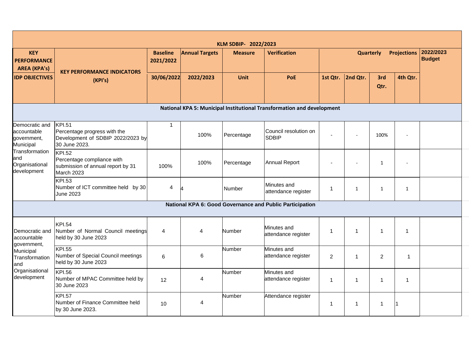|                                                           |                                                                                                     |                              |                       | KLM SDBIP- 2022/2023 |                                                                        |                                 |                |                |                         |                            |
|-----------------------------------------------------------|-----------------------------------------------------------------------------------------------------|------------------------------|-----------------------|----------------------|------------------------------------------------------------------------|---------------------------------|----------------|----------------|-------------------------|----------------------------|
| <b>KEY</b><br><b>PERFORMANCE</b><br><b>AREA (KPA's)</b>   |                                                                                                     | <b>Baseline</b><br>2021/2022 | <b>Annual Targets</b> | <b>Measure</b>       | <b>Verification</b>                                                    | <b>Projections</b><br>Quarterly |                |                |                         | 2022/2023<br><b>Budget</b> |
| <b>IDP OBJECTIVES</b>                                     | <b>KEY PERFORMANCE INDICATORS</b><br>(KPI's)                                                        | 30/06/2022                   | 2022/2023             | Unit                 | PoE                                                                    | 1st Qtr.                        | 2nd Qtr.       | 3rd<br>Qtr.    | 4th Qtr.                |                            |
|                                                           |                                                                                                     |                              |                       |                      | National KPA 5: Municipal Institutional Transformation and development |                                 |                |                |                         |                            |
| Democratic and<br>accountable<br>government,<br>Municipal | <b>KPI.51</b><br>Percentage progress with the<br>Development of SDBIP 2022/2023 by<br>30 June 2023. | 1                            | 100%                  | Percentage           | Council resolution on<br><b>SDBIP</b>                                  |                                 | $\sim$         | 100%           | $\sim$                  |                            |
| Transformation<br>and<br>Organisational<br>development    | <b>KPI.52</b><br>Percentage compliance with<br>submission of annual report by 31<br>March 2023      | 100%                         | 100%                  | Percentage           | <b>Annual Report</b>                                                   |                                 | $\sim$         | $\mathbf{1}$   | $\sim$                  |                            |
|                                                           | <b>KPI.53</b><br>Number of ICT committee held by 30<br>June 2023                                    | $\overline{4}$               |                       | Number               | Minutes and<br>attendance register                                     | 1                               | $\mathbf{1}$   | $\mathbf{1}$   | $\mathbf{1}$            |                            |
|                                                           |                                                                                                     |                              |                       |                      | National KPA 6: Good Governance and Public Participation               |                                 |                |                |                         |                            |
| Democratic and<br>accountable                             | <b>KPI.54</b><br>Number of Normal Council meetings<br>held by 30 June 2023                          | 4                            | 4                     | Number               | Minutes and<br>attendance register                                     | 1                               | -1             | $\mathbf 1$    | $\overline{\mathbf{1}}$ |                            |
| government,<br>Municipal<br>Transformation<br>and         | <b>KPI.55</b><br>Number of Special Council meetings<br>held by 30 June 2023                         | 6                            | 6                     | Number               | Minutes and<br>attendance register                                     | $\overline{2}$                  | $\overline{1}$ | $\overline{c}$ | $\mathbf{1}$            |                            |
| Organisational<br>development                             | <b>KPI.56</b><br>Number of MPAC Committee held by<br>30 June 2023                                   | 12                           | $\overline{4}$        | Number               | Minutes and<br>attendance register                                     | $\mathbf{1}$                    | -1             | $\mathbf 1$    | 1                       |                            |
|                                                           | <b>KPI.57</b><br>Number of Finance Committee held<br>by 30 June 2023.                               | 10                           | 4                     | Number               | Attendance register                                                    | 1                               | 1              | 1              |                         |                            |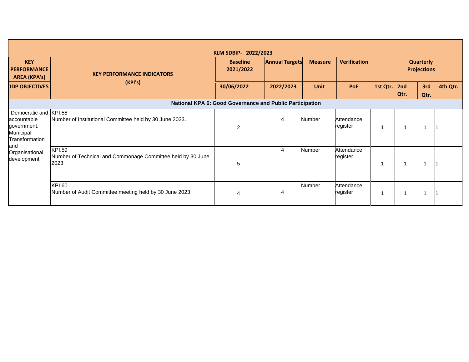|                                                                                    |                                                                                      | KLM SDBIP- 2022/2023                                     |                       |                |                        |          |             |                                        |          |
|------------------------------------------------------------------------------------|--------------------------------------------------------------------------------------|----------------------------------------------------------|-----------------------|----------------|------------------------|----------|-------------|----------------------------------------|----------|
| <b>KEY</b><br><b>PERFORMANCE</b><br><b>AREA (KPA's)</b>                            | <b>KEY PERFORMANCE INDICATORS</b>                                                    | <b>Baseline</b><br>2021/2022                             | <b>Annual Targets</b> | <b>Measure</b> | <b>Verification</b>    |          |             | <b>Quarterly</b><br><b>Projections</b> |          |
| <b>IDP OBJECTIVES</b>                                                              | (KPI's)                                                                              | 30/06/2022                                               | 2022/2023             | <b>Unit</b>    | PoE                    | 1st Qtr. | 2nd<br>Qtr. | 3rd<br>Qtr.                            | 4th Qtr. |
|                                                                                    |                                                                                      | National KPA 6: Good Governance and Public Participation |                       |                |                        |          |             |                                        |          |
| Democratic and KPI.58<br>accountable<br>government,<br>Municipal<br>Transformation | Number of Institutional Committee held by 30 June 2023.                              | 2                                                        | 4                     | Number         | Attendance<br>register |          |             |                                        |          |
| and<br>Organisational<br>development                                               | <b>KPI.59</b><br>Number of Technical and Commonage Committee held by 30 June<br>2023 | 5                                                        | 4                     | Number         | Attendance<br>register |          |             |                                        |          |
|                                                                                    | <b>KPI.60</b><br>Number of Audit Committee meeting held by 30 June 2023              |                                                          |                       | Number         | Attendance<br>register |          |             |                                        |          |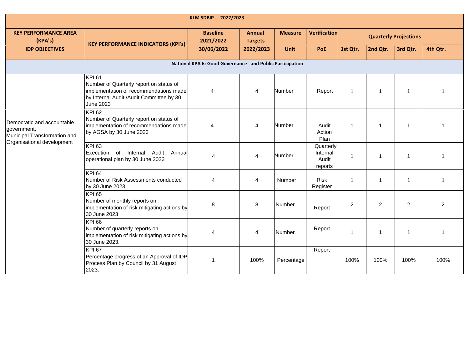| KLM SDBIP - 2022/2023                                                     |                                                                                                                                                                    |                                                          |                                 |                |                                           |                |                |                              |          |  |  |
|---------------------------------------------------------------------------|--------------------------------------------------------------------------------------------------------------------------------------------------------------------|----------------------------------------------------------|---------------------------------|----------------|-------------------------------------------|----------------|----------------|------------------------------|----------|--|--|
| <b>KEY PERFORMANCE AREA</b><br>(KPA's)                                    | <b>KEY PERFORMANCE INDICATORS (KPI's)</b>                                                                                                                          | <b>Baseline</b><br>2021/2022                             | <b>Annual</b><br><b>Targets</b> | <b>Measure</b> | Verification                              |                |                | <b>Quarterly Projections</b> |          |  |  |
| <b>IDP OBJECTIVES</b>                                                     |                                                                                                                                                                    | 30/06/2022                                               | 2022/2023                       | <b>Unit</b>    | PoE                                       | 1st Qtr.       | 2nd Qtr.       | 3rd Qtr.                     | 4th Qtr. |  |  |
|                                                                           |                                                                                                                                                                    | National KPA 6: Good Governance and Public Participation |                                 |                |                                           |                |                |                              |          |  |  |
|                                                                           | <b>KPI.61</b><br>Number of Quarterly report on status of<br>implementation of recommendations made<br>by Internal Audit /Audit Committee by 30<br><b>June 2023</b> | $\overline{4}$                                           | $\overline{4}$                  | Number         | Report                                    | $\mathbf{1}$   | $\overline{1}$ | -1                           |          |  |  |
| Democratic and accountable<br>government,<br>Municipal Transformation and | <b>KPI.62</b><br>Number of Quarterly report on status of<br>implementation of recommendations made<br>by AGSA by 30 June 2023                                      | $\overline{4}$                                           | 4                               | Number         | Audit<br>Action<br>Plan                   | $\mathbf{1}$   | $\overline{1}$ | -1                           |          |  |  |
| Organisational development                                                | <b>KPI.63</b><br>Execution<br><sub>of</sub><br>Internal<br>Audit<br>Annual<br>operational plan by 30 June 2023                                                     | 4                                                        | 4                               | Number         | Quarterly<br>Internal<br>Audit<br>reports | $\mathbf{1}$   | -1             | -1                           |          |  |  |
|                                                                           | <b>KPI.64</b><br>Number of Risk Assessments conducted<br>by 30 June 2023                                                                                           | 4                                                        | 4                               | <b>Number</b>  | <b>Risk</b><br>Register                   | $\mathbf{1}$   | -1             | -1                           | 1        |  |  |
|                                                                           | <b>KPI.65</b><br>Number of monthly reports on<br>implementation of risk mitigating actions by<br>30 June 2023                                                      | 8                                                        | 8                               | Number         | Report                                    | $\overline{c}$ | $\overline{2}$ | $\overline{2}$               | 2        |  |  |
|                                                                           | <b>KPI.66</b><br>Number of quarterly reports on<br>implementation of risk mitigating actions by<br>30 June 2023.                                                   | 4                                                        | 4                               | Number         | Report                                    | 1              | -1             | 1                            | -1       |  |  |
|                                                                           | <b>KPI.67</b><br>Percentage progress of an Approval of IDP<br>Process Plan by Council by 31 August<br>2023.                                                        | -1                                                       | 100%                            | Percentage     | Report                                    | 100%           | 100%           | 100%                         | 100%     |  |  |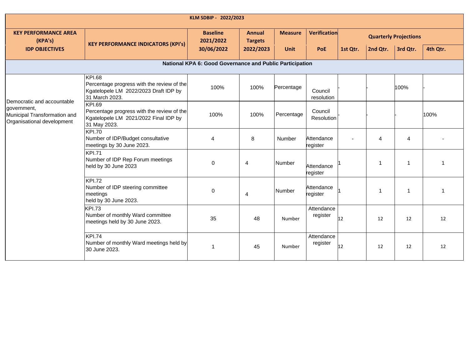| KLM SDBIP - 2022/2023                                                                                   |                                                                                                                        |                              |                                 |                |                        |                              |                |          |          |  |  |  |  |  |
|---------------------------------------------------------------------------------------------------------|------------------------------------------------------------------------------------------------------------------------|------------------------------|---------------------------------|----------------|------------------------|------------------------------|----------------|----------|----------|--|--|--|--|--|
| <b>KEY PERFORMANCE AREA</b><br>(KPA's)                                                                  | <b>KEY PERFORMANCE INDICATORS (KPI's)</b>                                                                              | <b>Baseline</b><br>2021/2022 | <b>Annual</b><br><b>Targets</b> | <b>Measure</b> | Verification           | <b>Quarterly Projections</b> |                |          |          |  |  |  |  |  |
| <b>IDP OBJECTIVES</b>                                                                                   |                                                                                                                        | 30/06/2022                   | 2022/2023                       | <b>Unit</b>    | PoE                    | 1st Qtr.                     | 2nd Qtr.       | 3rd Qtr. | 4th Qtr. |  |  |  |  |  |
| National KPA 6: Good Governance and Public Participation                                                |                                                                                                                        |                              |                                 |                |                        |                              |                |          |          |  |  |  |  |  |
|                                                                                                         | <b>KPI.68</b><br>Percentage progress with the review of the<br>Kgatelopele LM 2022/2023 Draft IDP by<br>31 March 2023. | 100%                         | 100%                            | Percentage     | Council<br>resolution  |                              |                | 100%     |          |  |  |  |  |  |
| Democratic and accountable<br>government,<br>Municipal Transformation and<br>Organisational development | <b>KPI.69</b><br>Percentage progress with the review of the<br>Kgatelopele LM 2021/2022 Final IDP by<br>31 May 2023.   | 100%                         | 100%                            | Percentage     | Council<br>Resolution  |                              |                |          | 100%     |  |  |  |  |  |
|                                                                                                         | <b>KPI.70</b><br>Number of IDP/Budget consultative<br>meetings by 30 June 2023.                                        | $\overline{4}$               | 8                               | Number         | Attendance<br>register |                              | $\overline{4}$ | 4        |          |  |  |  |  |  |
|                                                                                                         | <b>KPI.71</b><br>Number of IDP Rep Forum meetings<br>held by 30 June 2023                                              | 0                            | 4                               | Number         | Attendance<br>register |                              | -1             | f        |          |  |  |  |  |  |
|                                                                                                         | <b>KPI.72</b><br>Number of IDP steering committee<br>meetings<br>held by 30 June 2023.                                 | 0                            | 4                               | Number         | Attendance<br>register |                              | -1             | 1        |          |  |  |  |  |  |
|                                                                                                         | <b>KPI.73</b><br>Number of monthly Ward committee<br>meetings held by 30 June 2023.                                    | 35                           | 48                              | Number         | Attendance<br>register | 12                           | 12             | 12       | 12       |  |  |  |  |  |
|                                                                                                         | KPI.74<br>Number of monthly Ward meetings held by<br>30 June 2023.                                                     | $\mathbf{1}$                 | 45                              | Number         | Attendance<br>register | 12                           | 12             | 12       | 12       |  |  |  |  |  |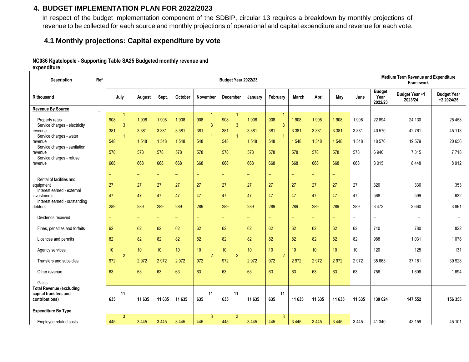#### **4. BUDGET IMPLEMENTATION PLAN FOR 2022/2023**

In respect of the budget implementation component of the SDBIP, circular 13 requires a breakdown by monthly projections of revenue to be collected for each source and monthly projections of operational and capital expenditure and revenue for each vote.

#### **4.1 Monthly projections: Capital expenditure by vote**

#### **NC086 Kgatelopele - Supporting Table SA25 Budgeted monthly revenue and**

**expenditure**

<span id="page-17-1"></span><span id="page-17-0"></span>

| <b>Description</b>                                                         | Ref    | Budget Year 2022/23                 |          |         |                          |                            |                                       |          |                                       |                          |                          |                          |                          | <b>Medium Term Revenue and Expenditure</b><br>Framework |                                  |                                  |  |
|----------------------------------------------------------------------------|--------|-------------------------------------|----------|---------|--------------------------|----------------------------|---------------------------------------|----------|---------------------------------------|--------------------------|--------------------------|--------------------------|--------------------------|---------------------------------------------------------|----------------------------------|----------------------------------|--|
| R thousand                                                                 |        | July                                | August   | Sept.   | October                  | November                   | December                              | January  | February                              | March                    | April                    | May                      | June                     | <b>Budget</b><br>Year<br>2022/23                        | <b>Budget Year +1</b><br>2023/24 | <b>Budget Year</b><br>+2 2024/25 |  |
| <b>Revenue By Source</b>                                                   | $\sim$ |                                     |          |         |                          |                            |                                       |          |                                       |                          |                          |                          |                          |                                                         |                                  |                                  |  |
| Property rates<br>Service charges - electricity                            |        | $\mathbf{1}$<br>908<br>$\mathbf{3}$ | 1 9 0 8  | 1908    | 1908                     | $\overline{1}$<br>908<br>3 | $\overline{1}$<br>908<br>$\mathbf{3}$ | 1 9 0 8  | $\overline{1}$<br>908<br>$\mathbf{3}$ | 1908                     | 1 908                    | 1 9 0 8                  | 1908                     | 22 8 94                                                 | 24 130                           | 25 4 58                          |  |
| revenue                                                                    |        | 381                                 | 3 3 8 1  | 3 3 8 1 | 3 3 8 1                  | 381                        | 381                                   | 3 3 8 1  | 381                                   | 3 3 8 1                  | 3 3 8 1                  | 3 3 8 1                  | 3 3 8 1                  | 40 570                                                  | 42761                            | 45 113                           |  |
| Service charges - water<br>revenue                                         |        | $\mathbf{1}$<br>548                 | 1 5 4 8  | 1548    | 1548                     | $\overline{1}$<br>548      | $\overline{1}$<br>548                 | 1548     | $\overline{1}$<br>548                 | 1548                     | 1548                     | 1548                     | 1548                     | 18 576                                                  | 19579                            | 20 656                           |  |
| Service charges - sanitation<br>revenue                                    |        | 578                                 | 578      | 578     | 578                      | 578                        | 578                                   | 578      | 578                                   | 578                      | 578                      | 578                      | 578                      | 6940                                                    | 7315                             | 7718                             |  |
| Service charges - refuse<br>revenue                                        |        | 668                                 | 668      | 668     | 668                      | 668                        | 668                                   | 668      | 668                                   | 668                      | 668                      | 668                      | 668                      | 8015                                                    | 8 4 4 8                          | 8912                             |  |
|                                                                            |        | $\qquad \qquad -$                   | $\equiv$ | Ξ.      | $\overline{\phantom{m}}$ | $\overline{\phantom{0}}$   | $\equiv$                              | $\equiv$ | $\overline{\phantom{0}}$              | $\overline{\phantom{0}}$ | $\overline{\phantom{0}}$ | -                        |                          |                                                         |                                  |                                  |  |
| Rental of facilities and<br>equipment<br>Interest earned - external        |        | 27                                  | 27       | 27      | 27                       | 27                         | 27                                    | 27       | 27                                    | 27                       | 27                       | 27                       | 27                       | 320                                                     | 336                              | 353                              |  |
| investments                                                                |        | 47                                  | 47       | 47      | 47                       | 47                         | 47                                    | 47       | 47                                    | 47                       | 47                       | 47                       | 47                       | 568                                                     | 599                              | 632                              |  |
| Interest earned - outstanding<br>debtors                                   |        | 289                                 | 289      | 289     | 289                      | 289                        | 289                                   | 289      | 289                                   | 289                      | 289                      | 289                      | 289                      | 3 4 7 3                                                 | 3 6 6 0                          | 3861                             |  |
| Dividends received                                                         |        | ۳                                   | $\equiv$ | ÷       | $\qquad \qquad -$        | $\qquad \qquad -$          | ÷                                     | $\equiv$ | $\equiv$                              | ۳                        | ÷                        | $\overline{\phantom{0}}$ | $\overline{\phantom{a}}$ | $\overline{\phantom{a}}$                                | $\overline{\phantom{0}}$         |                                  |  |
| Fines, penalties and forfeits                                              |        | 62                                  | 62       | 62      | 62                       | 62                         | 62                                    | 62       | 62                                    | 62                       | 62                       | 62                       | 62                       | 740                                                     | 780                              | 822                              |  |
| Licences and permits                                                       |        | 82                                  | 82       | 82      | 82                       | 82                         | 82                                    | 82       | 82                                    | 82                       | 82                       | 82                       | 82                       | 988                                                     | 1031                             | 1078                             |  |
| Agency services                                                            |        | 10                                  | 10       | 10      | 10                       | 10                         | 10                                    | 10       | 10                                    | 10                       | 10 <sup>°</sup>          | 10                       | 10                       | 120                                                     | 125                              | 131                              |  |
| Transfers and subsidies                                                    |        | $\overline{2}$<br>972               | 2972     | 2972    | 2972                     | $\overline{2}$<br>972      | $\overline{2}$<br>972                 | 2972     | $\overline{2}$<br>972                 | 2972                     | 2972                     | 2972                     | 2972                     | 35 663                                                  | 37 181                           | 39 9 28                          |  |
| Other revenue                                                              |        | 63                                  | 63       | 63      | 63                       | 63                         | 63                                    | 63       | 63                                    | 63                       | 63                       | 63                       | 63                       | 756                                                     | 1606                             | 1694                             |  |
| Gains                                                                      |        | ÷                                   | $\equiv$ | ÷,      | $\equiv$                 | $\overline{\phantom{m}}$   | $\equiv$                              | $\equiv$ | $\overline{\phantom{0}}$              |                          | ÷                        | ÷                        | $\overline{\phantom{0}}$ | $\qquad \qquad -$                                       | $\overline{\phantom{0}}$         |                                  |  |
| <b>Total Revenue (excluding</b><br>capital transfers and<br>contributions) |        | 11<br>635                           | 11 635   | 11 635  | 11 635                   | 11<br>635                  | 11<br>635                             | 11 635   | 11<br>635                             | 11 635                   | 11 635                   | 11 635                   | 11 635                   | 139 624                                                 | 147 552                          | 156 355                          |  |
| <b>Expenditure By Type</b>                                                 | $\sim$ |                                     |          |         |                          |                            |                                       |          |                                       |                          |                          |                          |                          |                                                         |                                  |                                  |  |
| Employee related costs                                                     |        | 3<br>445                            | 3 4 4 5  | 3 4 4 5 | 3 4 4 5                  | 3<br>445                   | 3<br>445                              | 3 4 4 5  | 3<br>445                              | 3 4 4 5                  | 3 4 4 5                  | 3 4 4 5                  | 3 4 4 5                  | 41 340                                                  | 43 159                           | 45 101                           |  |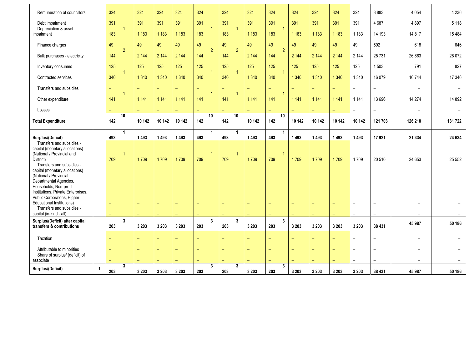| Remuneration of councillors                                                                                                                                                                                                                                                                                                                                                                                         |                | 324                                  |                | 324                              | 324                       | 324     | 324                         | 324                   | 324               | 324                      | 324     | 324     | 324                                   | 324                                                          | 3883                                                 | 4 0 5 4                  | 4 2 3 6  |
|---------------------------------------------------------------------------------------------------------------------------------------------------------------------------------------------------------------------------------------------------------------------------------------------------------------------------------------------------------------------------------------------------------------------|----------------|--------------------------------------|----------------|----------------------------------|---------------------------|---------|-----------------------------|-----------------------|-------------------|--------------------------|---------|---------|---------------------------------------|--------------------------------------------------------------|------------------------------------------------------|--------------------------|----------|
| Debt impairment<br>Depreciation & asset                                                                                                                                                                                                                                                                                                                                                                             |                | 391                                  | $\overline{1}$ | 391                              | 391                       | 391     | 391<br>$\blacktriangleleft$ | 391<br>$\overline{1}$ | 391               | 391<br>$\overline{1}$    | 391     | 391     | 391                                   | 391                                                          | 4687                                                 | 4897                     | 5 1 1 8  |
| impairment                                                                                                                                                                                                                                                                                                                                                                                                          |                | 183                                  |                | 1 1 8 3                          | 1 1 8 3                   | 1 1 8 3 | 183                         | 183                   | 1 1 8 3           | 183                      | 1 1 8 3 | 1 1 8 3 | 1 1 8 3                               | 1 1 8 3                                                      | 14 193                                               | 14 8 17                  | 15 4 84  |
| Finance charges                                                                                                                                                                                                                                                                                                                                                                                                     |                | 49                                   |                | 49                               | 49                        | 49      | 49                          | 49                    | 49                | 49                       | 49      | 49      | 49                                    | 49                                                           | 592                                                  | 618                      | 646      |
| Bulk purchases - electricity                                                                                                                                                                                                                                                                                                                                                                                        |                | 144                                  | $\overline{2}$ | 2 1 4 4                          | 2 144                     | 2 1 4 4 | $\overline{2}$<br>144       | $\overline{2}$<br>144 | 2 144             | $\overline{2}$<br>144    | 2 144   | 2 144   | 2 1 4 4                               | 2 1 4 4                                                      | 25 7 31                                              | 26 863                   | 28 0 72  |
| Inventory consumed                                                                                                                                                                                                                                                                                                                                                                                                  |                | 125                                  |                | 125                              | 125                       | 125     | 125                         | 125                   | 125               | 125                      | 125     | 125     | 125                                   | 125                                                          | 1503                                                 | 791                      | 827      |
| Contracted services                                                                                                                                                                                                                                                                                                                                                                                                 |                | 340                                  | $\mathbf{1}$   | 1 3 4 0                          | 1 3 4 0                   | 1 3 4 0 | $\mathbf{1}$<br>340         | $\overline{1}$<br>340 | 1 3 4 0           | $\overline{1}$<br>340    | 1 3 4 0 | 1 3 4 0 | 1 3 4 0                               | 1 3 4 0                                                      | 16 0 79                                              | 16 744                   | 17 346   |
| Transfers and subsidies                                                                                                                                                                                                                                                                                                                                                                                             |                | $\overline{\phantom{0}}$             |                | ۳                                | $\equiv$                  | ÷       | $\overline{\phantom{0}}$    | $\qquad \qquad -$     | $\qquad \qquad -$ | $\overline{\phantom{0}}$ | ÷       | ÷       | $\equiv$                              | $\overline{\phantom{a}}$                                     | $\overline{\phantom{m}}$                             | $\overline{\phantom{0}}$ |          |
| Other expenditure                                                                                                                                                                                                                                                                                                                                                                                                   |                | 141                                  | $\mathbf{1}$   | 1 1 4 1                          | 1 1 4 1                   | 1 1 4 1 | $\blacktriangleleft$<br>141 | $\overline{1}$<br>141 | 1 1 4 1           | $\overline{1}$<br>141    | 1 1 4 1 | 1 1 4 1 | 1 1 4 1                               | 1 1 4 1                                                      | 13696                                                | 14 274                   | 14 8 92  |
| Losses                                                                                                                                                                                                                                                                                                                                                                                                              |                |                                      |                |                                  |                           |         |                             |                       |                   |                          |         |         | $\overline{\phantom{0}}$              | $\overline{\phantom{a}}$                                     | $\equiv$                                             |                          |          |
| <b>Total Expenditure</b>                                                                                                                                                                                                                                                                                                                                                                                            |                | 142                                  | 10             | 10 142                           | 10 142                    | 10 142  | 10<br>142                   | 10<br>142             | 10 142            | 10<br>142                | 10 142  | 10 142  | 10 142                                | 10 142                                                       | 121 703                                              | 126 218                  | 131 722  |
|                                                                                                                                                                                                                                                                                                                                                                                                                     |                |                                      |                |                                  |                           |         |                             |                       |                   |                          |         |         |                                       |                                                              |                                                      |                          |          |
| Surplus/(Deficit)                                                                                                                                                                                                                                                                                                                                                                                                   |                | 493                                  | $\mathbf{1}$   | 1 4 9 3                          | 1 4 9 3                   | 1 4 9 3 | $\mathbf{1}$<br>493         | $\mathbf{1}$<br>493   | 1493              | $\mathbf{1}$<br>493      | 1493    | 1493    | 1493                                  | 1 4 9 3                                                      | 17921                                                | 21 334                   | 24 634   |
| Transfers and subsidies -<br>capital (monetary allocations)<br>(National / Provincial and<br>District)<br>Transfers and subsidies -<br>capital (monetary allocations)<br>(National / Provincial<br>Departmental Agencies,<br>Households, Non-profit<br>Institutions, Private Enterprises,<br>Public Corporatons, Higher<br><b>Educational Institutions)</b><br>Transfers and subsidies -<br>capital (in-kind - all) |                | 709<br>$\overline{\phantom{0}}$<br>÷ | $\mathbf{1}$   | 1709<br>$\overline{\phantom{0}}$ | 1709<br>$\qquad \qquad -$ | 1709    | $\mathbf{1}$<br>709<br>٠    | $\overline{1}$<br>709 | 1709              | $\overline{1}$<br>709    | 1709    | 1709    | 1709<br>$\qquad \qquad -$<br>$\equiv$ | 1709<br>$\overline{\phantom{0}}$<br>$\overline{\phantom{0}}$ | 20 510<br>$\overline{\phantom{a}}$                   | 24 653                   | 25 5 5 2 |
| Surplus/(Deficit) after capital                                                                                                                                                                                                                                                                                                                                                                                     |                |                                      | 3              |                                  |                           |         | $\mathbf{3}$                | $\mathbf{3}$          |                   | $\mathbf{3}$             |         |         |                                       |                                                              |                                                      |                          |          |
| transfers & contributions                                                                                                                                                                                                                                                                                                                                                                                           |                | 203                                  |                | 3 2 0 3                          | 3 2 0 3                   | 3 2 0 3 | 203                         | 203                   | 3 2 0 3           | 203                      | 3 2 0 3 | 3 2 0 3 | 3 2 0 3                               | 3 2 0 3                                                      | 38 431                                               | 45 987                   | 50 186   |
| Taxation                                                                                                                                                                                                                                                                                                                                                                                                            |                | $\equiv$                             |                | ÷                                | $\equiv$                  |         | $\overline{\phantom{0}}$    |                       |                   |                          | ÷       | ÷       | $\equiv$                              | $\overline{\phantom{0}}$                                     | $\overline{\phantom{0}}$                             | $\overline{\phantom{0}}$ |          |
| Attributable to minorities<br>Share of surplus/ (deficit) of                                                                                                                                                                                                                                                                                                                                                        |                | $\overline{\phantom{0}}$             |                | ÷                                | $\equiv$                  |         | $\overline{\phantom{a}}$    |                       |                   |                          | ÷       | ÷       | $\equiv$                              | $\overline{\phantom{0}}$                                     | $\overline{\phantom{0}}$<br>$\overline{\phantom{0}}$ |                          |          |
| associate                                                                                                                                                                                                                                                                                                                                                                                                           |                |                                      | 3              |                                  |                           |         | $\overline{\mathbf{3}}$     | 3                     |                   | 3                        |         |         | $\overline{\phantom{m}}$              | $\overline{\phantom{0}}$                                     |                                                      |                          |          |
| Surplus/(Deficit)                                                                                                                                                                                                                                                                                                                                                                                                   | $\overline{1}$ | 203                                  |                | 3 2 0 3                          | 3 2 0 3                   | 3 2 0 3 | 203                         | 203                   | 3 2 0 3           | 203                      | 3 2 0 3 | 3 2 0 3 | 3 2 0 3                               | 3 2 0 3                                                      | 38 431                                               | 45 987                   | 50 186   |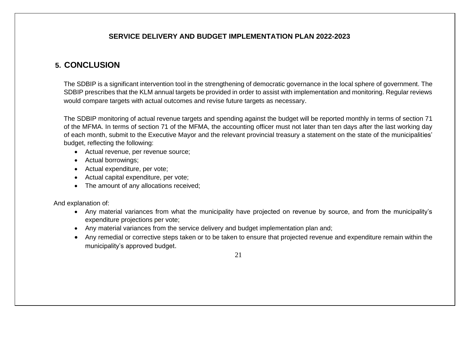#### **SERVICE DELIVERY AND BUDGET IMPLEMENTATION PLAN 2022-2023**

### **5. CONCLUSION**

The SDBIP is a significant intervention tool in the strengthening of democratic governance in the local sphere of government. The SDBIP prescribes that the KLM annual targets be provided in order to assist with implementation and monitoring. Regular reviews would compare targets with actual outcomes and revise future targets as necessary.

The SDBIP monitoring of actual revenue targets and spending against the budget will be reported monthly in terms of section 71 of the MFMA. In terms of section 71 of the MFMA, the accounting officer must not later than ten days after the last working day of each month, submit to the Executive Mayor and the relevant provincial treasury a statement on the state of the municipalities' budget, reflecting the following:

- Actual revenue, per revenue source;
- Actual borrowings;
- Actual expenditure, per vote;
- Actual capital expenditure, per vote;
- The amount of any allocations received;

And explanation of:

- Any material variances from what the municipality have projected on revenue by source, and from the municipality's expenditure projections per vote;
- Any material variances from the service delivery and budget implementation plan and;
- Any remedial or corrective steps taken or to be taken to ensure that projected revenue and expenditure remain within the municipality's approved budget.

21